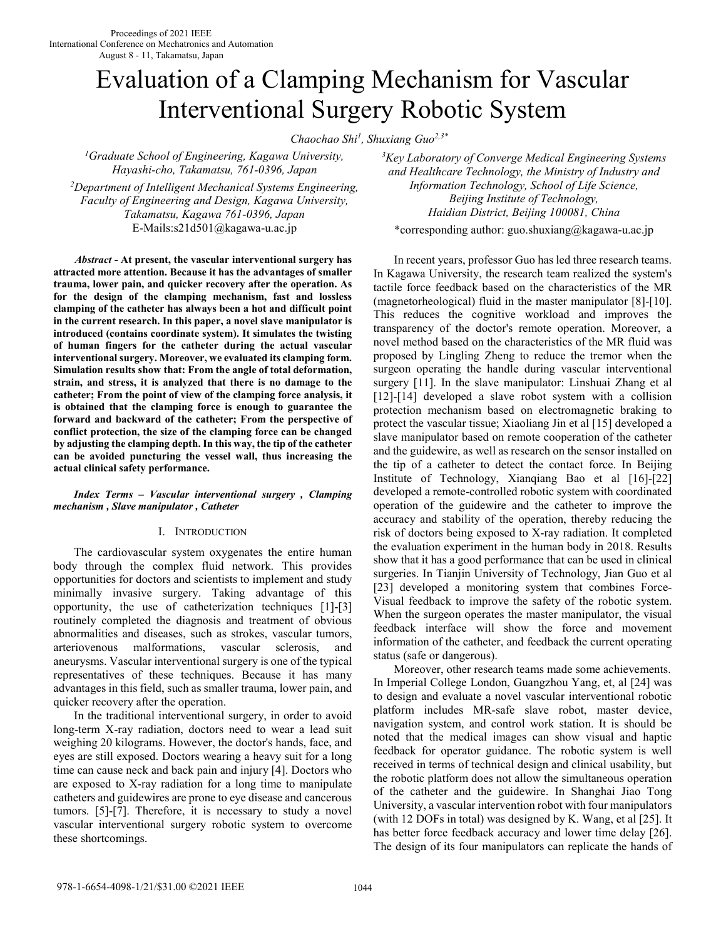# Evaluation of a Clamping Mechanism for Vascular Interventional Surgery Robotic System

*Chaochao Shi<sup>1</sup> , Shuxiang Guo2,3\**

*<sup>1</sup>Graduate School of Engineering, Kagawa University, Hayashi-cho, Takamatsu, 761-0396, Japan* 

*<sup>2</sup>Department of Intelligent Mechanical Systems Engineering, Faculty of Engineering and Design, Kagawa University, Takamatsu, Kagawa 761-0396, Japan* E-Mails:s21d501@kagawa-u.ac.jp \*corresponding author: guo.shuxiang@kagawa-u.ac.jp

*Abstract* **- At present, the vascular interventional surgery has attracted more attention. Because it has the advantages of smaller trauma, lower pain, and quicker recovery after the operation. As for the design of the clamping mechanism, fast and lossless clamping of the catheter has always been a hot and difficult point in the current research. In this paper, a novel slave manipulator is introduced (contains coordinate system). It simulates the twisting of human fingers for the catheter during the actual vascular interventional surgery. Moreover, we evaluated its clamping form. Simulation results show that: From the angle of total deformation, strain, and stress, it is analyzed that there is no damage to the catheter; From the point of view of the clamping force analysis, it is obtained that the clamping force is enough to guarantee the forward and backward of the catheter; From the perspective of conflict protection, the size of the clamping force can be changed by adjusting the clamping depth. In this way, the tip of the catheter can be avoided puncturing the vessel wall, thus increasing the actual clinical safety performance.** 

*Index Terms – Vascular interventional surgery , Clamping mechanism , Slave manipulator , Catheter* 

### I. INTRODUCTION

 The cardiovascular system oxygenates the entire human body through the complex fluid network. This provides opportunities for doctors and scientists to implement and study minimally invasive surgery. Taking advantage of this opportunity, the use of catheterization techniques [1]-[3] routinely completed the diagnosis and treatment of obvious abnormalities and diseases, such as strokes, vascular tumors, arteriovenous malformations, vascular sclerosis, and aneurysms. Vascular interventional surgery is one of the typical representatives of these techniques. Because it has many advantages in this field, such as smaller trauma, lower pain, and quicker recovery after the operation.

 In the traditional interventional surgery, in order to avoid long-term X-ray radiation, doctors need to wear a lead suit weighing 20 kilograms. However, the doctor's hands, face, and eyes are still exposed. Doctors wearing a heavy suit for a long time can cause neck and back pain and injury [4]. Doctors who are exposed to X-ray radiation for a long time to manipulate catheters and guidewires are prone to eye disease and cancerous tumors. [5]-[7]. Therefore, it is necessary to study a novel vascular interventional surgery robotic system to overcome these shortcomings.

*<sup>3</sup>Key Laboratory of Converge Medical Engineering Systems and Healthcare Technology, the Ministry of Industry and Information Technology, School of Life Science, Beijing Institute of Technology, Haidian District, Beijing 100081, China* 

 In recent years, professor Guo has led three research teams. In Kagawa University, the research team realized the system's tactile force feedback based on the characteristics of the MR (magnetorheological) fluid in the master manipulator [8]-[10]. This reduces the cognitive workload and improves the transparency of the doctor's remote operation. Moreover, a novel method based on the characteristics of the MR fluid was proposed by Lingling Zheng to reduce the tremor when the surgeon operating the handle during vascular interventional surgery [11]. In the slave manipulator: Linshuai Zhang et al [12]-[14] developed a slave robot system with a collision protection mechanism based on electromagnetic braking to protect the vascular tissue; Xiaoliang Jin et al [15] developed a slave manipulator based on remote cooperation of the catheter and the guidewire, as well as research on the sensor installed on the tip of a catheter to detect the contact force. In Beijing Institute of Technology, Xianqiang Bao et al [16]-[22] developed a remote-controlled robotic system with coordinated operation of the guidewire and the catheter to improve the accuracy and stability of the operation, thereby reducing the risk of doctors being exposed to X-ray radiation. It completed the evaluation experiment in the human body in 2018. Results show that it has a good performance that can be used in clinical surgeries. In Tianjin University of Technology, Jian Guo et al [23] developed a monitoring system that combines Force-Visual feedback to improve the safety of the robotic system. When the surgeon operates the master manipulator, the visual feedback interface will show the force and movement information of the catheter, and feedback the current operating status (safe or dangerous).

 Moreover, other research teams made some achievements. In Imperial College London, Guangzhou Yang, et, al [24] was to design and evaluate a novel vascular interventional robotic platform includes MR-safe slave robot, master device, navigation system, and control work station. It is should be noted that the medical images can show visual and haptic feedback for operator guidance. The robotic system is well received in terms of technical design and clinical usability, but the robotic platform does not allow the simultaneous operation of the catheter and the guidewire. In Shanghai Jiao Tong University, a vascular intervention robot with four manipulators (with 12 DOFs in total) was designed by K. Wang, et al [25]. It has better force feedback accuracy and lower time delay [26]. The design of its four manipulators can replicate the hands of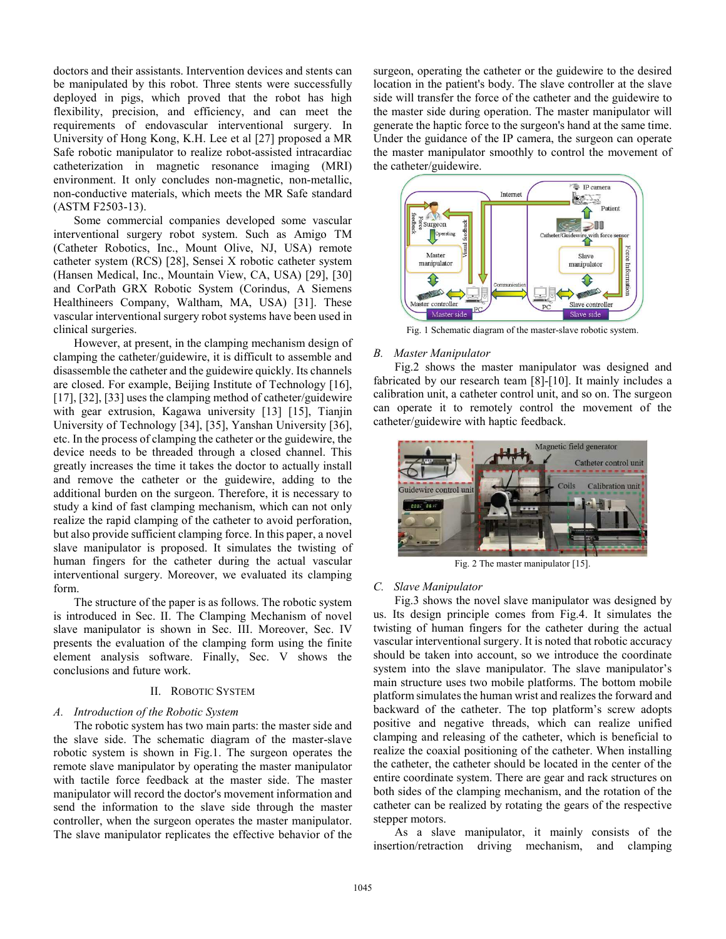doctors and their assistants. Intervention devices and stents can be manipulated by this robot. Three stents were successfully deployed in pigs, which proved that the robot has high flexibility, precision, and efficiency, and can meet the requirements of endovascular interventional surgery. In University of Hong Kong, K.H. Lee et al [27] proposed a MR Safe robotic manipulator to realize robot-assisted intracardiac catheterization in magnetic resonance imaging (MRI) environment. It only concludes non-magnetic, non-metallic, non-conductive materials, which meets the MR Safe standard (ASTM F2503-13).

 Some commercial companies developed some vascular interventional surgery robot system. Such as Amigo TM (Catheter Robotics, Inc., Mount Olive, NJ, USA) remote catheter system (RCS) [28], Sensei X robotic catheter system (Hansen Medical, Inc., Mountain View, CA, USA) [29], [30] and CorPath GRX Robotic System (Corindus, A Siemens Healthineers Company, Waltham, MA, USA) [31]. These vascular interventional surgery robot systems have been used in clinical surgeries.

 However, at present, in the clamping mechanism design of clamping the catheter/guidewire, it is difficult to assemble and disassemble the catheter and the guidewire quickly. Its channels are closed. For example, Beijing Institute of Technology [16], [17], [32], [33] uses the clamping method of catheter/guidewire with gear extrusion, Kagawa university [13] [15], Tianjin University of Technology [34], [35], Yanshan University [36], etc. In the process of clamping the catheter or the guidewire, the device needs to be threaded through a closed channel. This greatly increases the time it takes the doctor to actually install and remove the catheter or the guidewire, adding to the additional burden on the surgeon. Therefore, it is necessary to study a kind of fast clamping mechanism, which can not only realize the rapid clamping of the catheter to avoid perforation, but also provide sufficient clamping force. In this paper, a novel slave manipulator is proposed. It simulates the twisting of human fingers for the catheter during the actual vascular interventional surgery. Moreover, we evaluated its clamping form.

 The structure of the paper is as follows. The robotic system is introduced in Sec. II. The Clamping Mechanism of novel slave manipulator is shown in Sec. III. Moreover, Sec. IV presents the evaluation of the clamping form using the finite element analysis software. Finally, Sec. V shows the conclusions and future work.

### II. ROBOTIC SYSTEM

## *A. Introduction of the Robotic System*

 The robotic system has two main parts: the master side and the slave side. The schematic diagram of the master-slave robotic system is shown in Fig.1. The surgeon operates the remote slave manipulator by operating the master manipulator with tactile force feedback at the master side. The master manipulator will record the doctor's movement information and send the information to the slave side through the master controller, when the surgeon operates the master manipulator. The slave manipulator replicates the effective behavior of the surgeon, operating the catheter or the guidewire to the desired location in the patient's body. The slave controller at the slave side will transfer the force of the catheter and the guidewire to the master side during operation. The master manipulator will generate the haptic force to the surgeon's hand at the same time. Under the guidance of the IP camera, the surgeon can operate the master manipulator smoothly to control the movement of the catheter/guidewire.



Fig. 1 Schematic diagram of the master-slave robotic system.

#### *B. Master Manipulator*

 Fig.2 shows the master manipulator was designed and fabricated by our research team [8]-[10]. It mainly includes a calibration unit, a catheter control unit, and so on. The surgeon can operate it to remotely control the movement of the catheter/guidewire with haptic feedback.



Fig. 2 The master manipulator [15].

#### *C. Slave Manipulator*

 Fig.3 shows the novel slave manipulator was designed by us. Its design principle comes from Fig.4. It simulates the twisting of human fingers for the catheter during the actual vascular interventional surgery. It is noted that robotic accuracy should be taken into account, so we introduce the coordinate system into the slave manipulator. The slave manipulator's main structure uses two mobile platforms. The bottom mobile platform simulates the human wrist and realizes the forward and backward of the catheter. The top platform's screw adopts positive and negative threads, which can realize unified clamping and releasing of the catheter, which is beneficial to realize the coaxial positioning of the catheter. When installing the catheter, the catheter should be located in the center of the entire coordinate system. There are gear and rack structures on both sides of the clamping mechanism, and the rotation of the catheter can be realized by rotating the gears of the respective stepper motors.

 As a slave manipulator, it mainly consists of the insertion/retraction driving mechanism, and clamping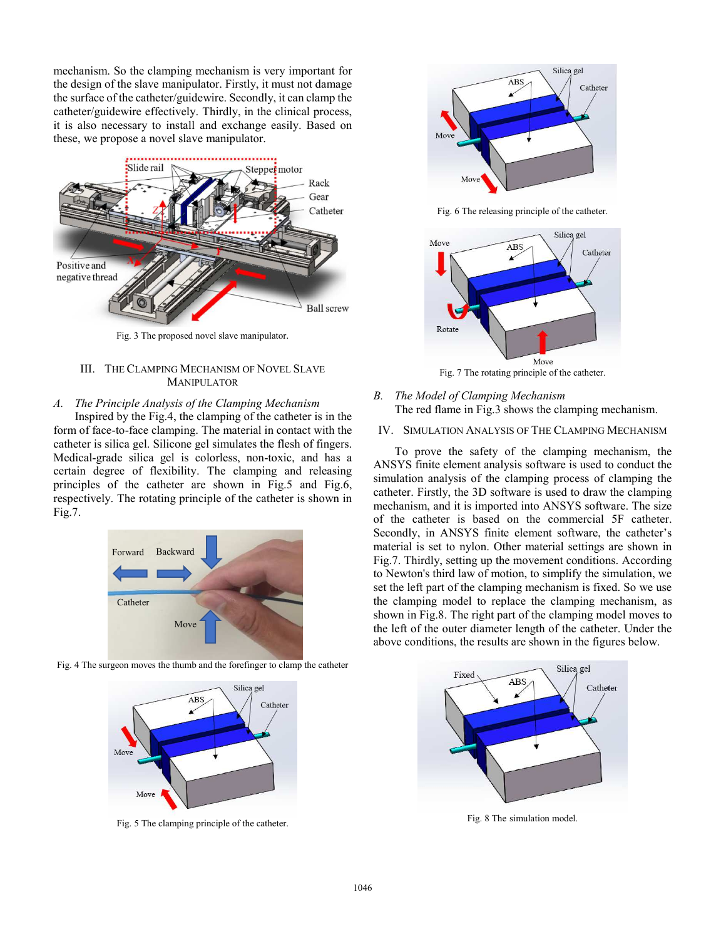mechanism. So the clamping mechanism is very important for the design of the slave manipulator. Firstly, it must not damage the surface of the catheter/guidewire. Secondly, it can clamp the catheter/guidewire effectively. Thirdly, in the clinical process, it is also necessary to install and exchange easily. Based on these, we propose a novel slave manipulator.



Fig. 3 The proposed novel slave manipulator.

## III. THE CLAMPING MECHANISM OF NOVEL SLAVE MANIPULATOR

### *A. The Principle Analysis of the Clamping Mechanism*

 Inspired by the Fig.4, the clamping of the catheter is in the form of face-to-face clamping. The material in contact with the catheter is silica gel. Silicone gel simulates the flesh of fingers. Medical-grade silica gel is colorless, non-toxic, and has a certain degree of flexibility. The clamping and releasing principles of the catheter are shown in Fig.5 and Fig.6, respectively. The rotating principle of the catheter is shown in Fig.7.



Fig. 4 The surgeon moves the thumb and the forefinger to clamp the catheter



Fig. 5 The clamping principle of the catheter.



Fig. 6 The releasing principle of the catheter.



Fig. 7 The rotating principle of the catheter.

# *B. The Model of Clamping Mechanism*  The red flame in Fig.3 shows the clamping mechanism.

# IV. SIMULATION ANALYSIS OF THE CLAMPING MECHANISM

 To prove the safety of the clamping mechanism, the ANSYS finite element analysis software is used to conduct the simulation analysis of the clamping process of clamping the catheter. Firstly, the 3D software is used to draw the clamping mechanism, and it is imported into ANSYS software. The size of the catheter is based on the commercial 5F catheter. Secondly, in ANSYS finite element software, the catheter's material is set to nylon. Other material settings are shown in Fig.7. Thirdly, setting up the movement conditions. According to Newton's third law of motion, to simplify the simulation, we set the left part of the clamping mechanism is fixed. So we use the clamping model to replace the clamping mechanism, as shown in Fig.8. The right part of the clamping model moves to the left of the outer diameter length of the catheter. Under the above conditions, the results are shown in the figures below.



Fig. 8 The simulation model.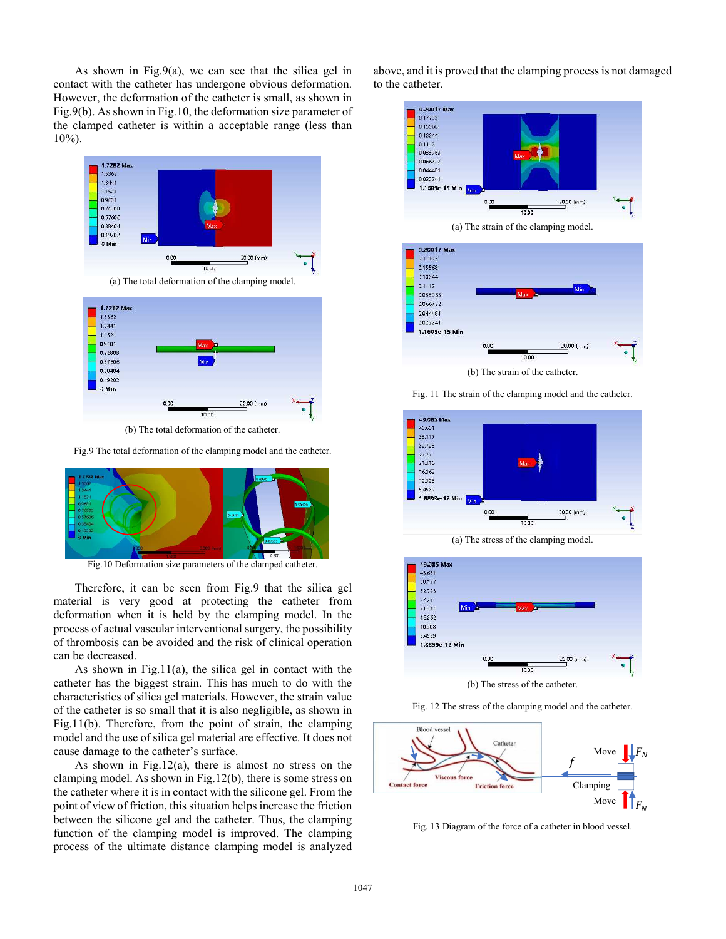As shown in Fig.9(a), we can see that the silica gel in contact with the catheter has undergone obvious deformation. However, the deformation of the catheter is small, as shown in Fig.9(b). As shown in Fig.10, the deformation size parameter of the clamped catheter is within a acceptable range (less than 10%).



(b) The total deformation of the catheter.

Fig.9 The total deformation of the clamping model and the catheter.



Fig.10 Deformation size parameters of the clamped catheter.

 Therefore, it can be seen from Fig.9 that the silica gel material is very good at protecting the catheter from deformation when it is held by the clamping model. In the process of actual vascular interventional surgery, the possibility of thrombosis can be avoided and the risk of clinical operation can be decreased.

 As shown in Fig.11(a), the silica gel in contact with the catheter has the biggest strain. This has much to do with the characteristics of silica gel materials. However, the strain value of the catheter is so small that it is also negligible, as shown in Fig.11(b). Therefore, from the point of strain, the clamping model and the use of silica gel material are effective. It does not cause damage to the catheter's surface.

 As shown in Fig.12(a), there is almost no stress on the clamping model. As shown in Fig.12(b), there is some stress on the catheter where it is in contact with the silicone gel. From the point of view of friction, this situation helps increase the friction between the silicone gel and the catheter. Thus, the clamping function of the clamping model is improved. The clamping process of the ultimate distance clamping model is analyzed above, and it is proved that the clamping process is not damaged to the catheter.





(b) The strain of the catheter.

Fig. 11 The strain of the clamping model and the catheter.



(a) The stress of the clamping model.



(b) The stress of the catheter.





Fig. 13 Diagram of the force of a catheter in blood vessel.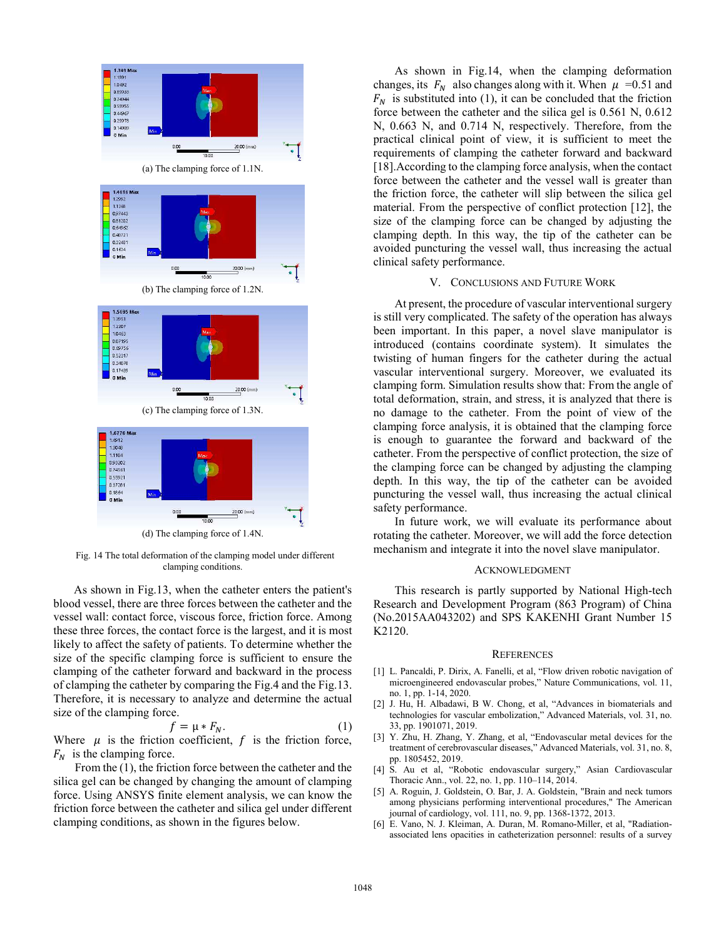

 Fig. 14 The total deformation of the clamping model under different clamping conditions.

 As shown in Fig.13, when the catheter enters the patient's blood vessel, there are three forces between the catheter and the vessel wall: contact force, viscous force, friction force. Among these three forces, the contact force is the largest, and it is most likely to affect the safety of patients. To determine whether the size of the specific clamping force is sufficient to ensure the clamping of the catheter forward and backward in the process of clamping the catheter by comparing the Fig.4 and the Fig.13. Therefore, it is necessary to analyze and determine the actual size of the clamping force.

$$
f = \mu * F_N. \tag{1}
$$

Where  $\mu$  is the friction coefficient,  $f$  is the friction force,  $F_N$  is the clamping force.

 From the (1), the friction force between the catheter and the silica gel can be changed by changing the amount of clamping force. Using ANSYS finite element analysis, we can know the friction force between the catheter and silica gel under different clamping conditions, as shown in the figures below.

 As shown in Fig.14, when the clamping deformation changes, its  $F_N$  also changes along with it. When  $\mu = 0.51$  and  $F_N$  is substituted into (1), it can be concluded that the friction force between the catheter and the silica gel is 0.561 N, 0.612 N, 0.663 N, and 0.714 N, respectively. Therefore, from the practical clinical point of view, it is sufficient to meet the requirements of clamping the catheter forward and backward [18].According to the clamping force analysis, when the contact force between the catheter and the vessel wall is greater than the friction force, the catheter will slip between the silica gel material. From the perspective of conflict protection [12], the size of the clamping force can be changed by adjusting the clamping depth. In this way, the tip of the catheter can be avoided puncturing the vessel wall, thus increasing the actual clinical safety performance.

### V. CONCLUSIONS AND FUTURE WORK

 At present, the procedure of vascular interventional surgery is still very complicated. The safety of the operation has always been important. In this paper, a novel slave manipulator is introduced (contains coordinate system). It simulates the twisting of human fingers for the catheter during the actual vascular interventional surgery. Moreover, we evaluated its clamping form. Simulation results show that: From the angle of total deformation, strain, and stress, it is analyzed that there is no damage to the catheter. From the point of view of the clamping force analysis, it is obtained that the clamping force is enough to guarantee the forward and backward of the catheter. From the perspective of conflict protection, the size of the clamping force can be changed by adjusting the clamping depth. In this way, the tip of the catheter can be avoided puncturing the vessel wall, thus increasing the actual clinical safety performance.

 In future work, we will evaluate its performance about rotating the catheter. Moreover, we will add the force detection mechanism and integrate it into the novel slave manipulator.

#### ACKNOWLEDGMENT

 This research is partly supported by National High-tech Research and Development Program (863 Program) of China (No.2015AA043202) and SPS KAKENHI Grant Number 15 K2120.

#### **REFERENCES**

- [1] L. Pancaldi, P. Dirix, A. Fanelli, et al, "Flow driven robotic navigation of microengineered endovascular probes," Nature Communications, vol. 11, no. 1, pp. 1-14, 2020.
- [2] J. Hu, H. Albadawi, B W. Chong, et al, "Advances in biomaterials and technologies for vascular embolization," Advanced Materials, vol. 31, no. 33, pp. 1901071, 2019.
- [3] Y. Zhu, H. Zhang, Y. Zhang, et al, "Endovascular metal devices for the treatment of cerebrovascular diseases," Advanced Materials, vol. 31, no. 8, pp. 1805452, 2019.
- [4] S. Au et al, "Robotic endovascular surgery," Asian Cardiovascular Thoracic Ann., vol. 22, no. 1, pp. 110–114, 2014.
- [5] A. Roguin, J. Goldstein, O. Bar, J. A. Goldstein, "Brain and neck tumors among physicians performing interventional procedures," The American journal of cardiology, vol. 111, no. 9, pp. 1368-1372, 2013.
- [6] E. Vano, N. J. Kleiman, A. Duran, M. Romano-Miller, et al, "Radiationassociated lens opacities in catheterization personnel: results of a survey